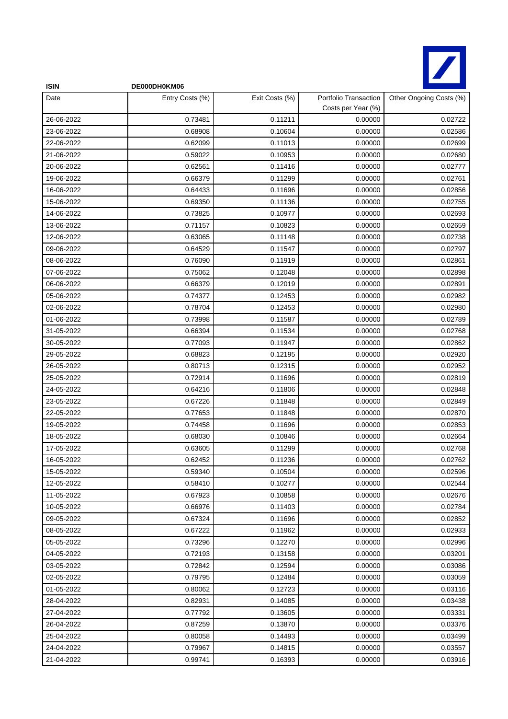

| <b>ISIN</b> | DE000DH0KM06    |                |                                             |                         |
|-------------|-----------------|----------------|---------------------------------------------|-------------------------|
| Date        | Entry Costs (%) | Exit Costs (%) | Portfolio Transaction<br>Costs per Year (%) | Other Ongoing Costs (%) |
| 26-06-2022  | 0.73481         | 0.11211        | 0.00000                                     | 0.02722                 |
| 23-06-2022  | 0.68908         | 0.10604        | 0.00000                                     | 0.02586                 |
| 22-06-2022  | 0.62099         | 0.11013        | 0.00000                                     | 0.02699                 |
| 21-06-2022  | 0.59022         | 0.10953        | 0.00000                                     | 0.02680                 |
| 20-06-2022  | 0.62561         | 0.11416        | 0.00000                                     | 0.02777                 |
| 19-06-2022  | 0.66379         | 0.11299        | 0.00000                                     | 0.02761                 |
| 16-06-2022  | 0.64433         | 0.11696        | 0.00000                                     | 0.02856                 |
| 15-06-2022  | 0.69350         | 0.11136        | 0.00000                                     | 0.02755                 |
| 14-06-2022  | 0.73825         | 0.10977        | 0.00000                                     | 0.02693                 |
| 13-06-2022  | 0.71157         | 0.10823        | 0.00000                                     | 0.02659                 |
| 12-06-2022  | 0.63065         | 0.11148        | 0.00000                                     | 0.02738                 |
| 09-06-2022  | 0.64529         | 0.11547        | 0.00000                                     | 0.02797                 |
| 08-06-2022  | 0.76090         | 0.11919        | 0.00000                                     | 0.02861                 |
| 07-06-2022  | 0.75062         | 0.12048        | 0.00000                                     | 0.02898                 |
| 06-06-2022  | 0.66379         | 0.12019        | 0.00000                                     | 0.02891                 |
| 05-06-2022  | 0.74377         | 0.12453        | 0.00000                                     | 0.02982                 |
| 02-06-2022  | 0.78704         | 0.12453        | 0.00000                                     | 0.02980                 |
| 01-06-2022  | 0.73998         | 0.11587        | 0.00000                                     | 0.02789                 |
| 31-05-2022  | 0.66394         | 0.11534        | 0.00000                                     | 0.02768                 |
| 30-05-2022  | 0.77093         | 0.11947        | 0.00000                                     | 0.02862                 |
| 29-05-2022  | 0.68823         | 0.12195        | 0.00000                                     | 0.02920                 |
| 26-05-2022  | 0.80713         | 0.12315        | 0.00000                                     | 0.02952                 |
| 25-05-2022  | 0.72914         | 0.11696        | 0.00000                                     | 0.02819                 |
| 24-05-2022  | 0.64216         | 0.11806        | 0.00000                                     | 0.02848                 |
| 23-05-2022  | 0.67226         | 0.11848        | 0.00000                                     | 0.02849                 |
| 22-05-2022  | 0.77653         | 0.11848        | 0.00000                                     | 0.02870                 |
| 19-05-2022  | 0.74458         | 0.11696        | 0.00000                                     | 0.02853                 |
| 18-05-2022  | 0.68030         | 0.10846        | 0.00000                                     | 0.02664                 |
| 17-05-2022  | 0.63605         | 0.11299        | 0.00000                                     | 0.02768                 |
| 16-05-2022  | 0.62452         | 0.11236        | 0.00000                                     | 0.02762                 |
| 15-05-2022  | 0.59340         | 0.10504        | 0.00000                                     | 0.02596                 |
| 12-05-2022  | 0.58410         | 0.10277        | 0.00000                                     | 0.02544                 |
| 11-05-2022  | 0.67923         | 0.10858        | 0.00000                                     | 0.02676                 |
| 10-05-2022  | 0.66976         | 0.11403        | 0.00000                                     | 0.02784                 |
| 09-05-2022  | 0.67324         | 0.11696        | 0.00000                                     | 0.02852                 |
| 08-05-2022  | 0.67222         | 0.11962        | 0.00000                                     | 0.02933                 |
| 05-05-2022  | 0.73296         | 0.12270        | 0.00000                                     | 0.02996                 |
| 04-05-2022  | 0.72193         | 0.13158        | 0.00000                                     | 0.03201                 |
| 03-05-2022  | 0.72842         | 0.12594        | 0.00000                                     | 0.03086                 |
| 02-05-2022  | 0.79795         | 0.12484        | 0.00000                                     | 0.03059                 |
| 01-05-2022  | 0.80062         | 0.12723        | 0.00000                                     | 0.03116                 |
| 28-04-2022  | 0.82931         | 0.14085        | 0.00000                                     | 0.03438                 |
| 27-04-2022  | 0.77792         | 0.13605        | 0.00000                                     | 0.03331                 |
| 26-04-2022  | 0.87259         | 0.13870        | 0.00000                                     | 0.03376                 |
| 25-04-2022  | 0.80058         | 0.14493        | 0.00000                                     | 0.03499                 |
| 24-04-2022  | 0.79967         | 0.14815        | 0.00000                                     | 0.03557                 |
| 21-04-2022  | 0.99741         | 0.16393        | 0.00000                                     | 0.03916                 |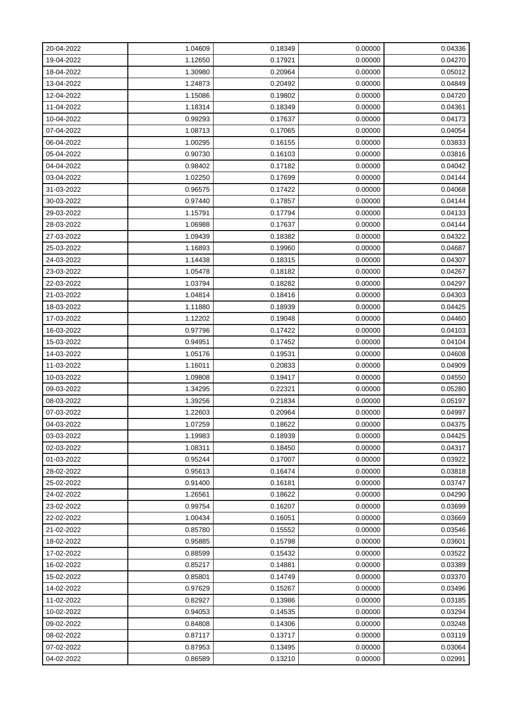| 20-04-2022 | 1.04609 | 0.18349 | 0.00000 | 0.04336 |
|------------|---------|---------|---------|---------|
| 19-04-2022 | 1.12650 | 0.17921 | 0.00000 | 0.04270 |
| 18-04-2022 | 1.30980 | 0.20964 | 0.00000 | 0.05012 |
| 13-04-2022 | 1.24873 | 0.20492 | 0.00000 | 0.04849 |
| 12-04-2022 | 1.15086 | 0.19802 | 0.00000 | 0.04720 |
| 11-04-2022 | 1.18314 | 0.18349 | 0.00000 | 0.04361 |
| 10-04-2022 | 0.99293 | 0.17637 | 0.00000 | 0.04173 |
| 07-04-2022 | 1.08713 | 0.17065 | 0.00000 | 0.04054 |
| 06-04-2022 | 1.00295 | 0.16155 | 0.00000 | 0.03833 |
| 05-04-2022 | 0.90730 | 0.16103 | 0.00000 | 0.03816 |
| 04-04-2022 | 0.98402 | 0.17182 | 0.00000 | 0.04042 |
| 03-04-2022 | 1.02250 | 0.17699 | 0.00000 | 0.04144 |
| 31-03-2022 | 0.96575 | 0.17422 | 0.00000 | 0.04068 |
| 30-03-2022 | 0.97440 | 0.17857 | 0.00000 | 0.04144 |
| 29-03-2022 | 1.15791 | 0.17794 | 0.00000 | 0.04133 |
| 28-03-2022 | 1.06988 | 0.17637 | 0.00000 | 0.04144 |
| 27-03-2022 | 1.09439 | 0.18382 | 0.00000 | 0.04322 |
| 25-03-2022 | 1.16893 | 0.19960 | 0.00000 | 0.04687 |
| 24-03-2022 | 1.14438 | 0.18315 | 0.00000 | 0.04307 |
| 23-03-2022 | 1.05478 | 0.18182 | 0.00000 | 0.04267 |
| 22-03-2022 | 1.03794 | 0.18282 | 0.00000 | 0.04297 |
| 21-03-2022 | 1.04814 | 0.18416 | 0.00000 | 0.04303 |
| 18-03-2022 | 1.11880 | 0.18939 | 0.00000 | 0.04425 |
| 17-03-2022 | 1.12202 | 0.19048 | 0.00000 | 0.04460 |
| 16-03-2022 | 0.97796 | 0.17422 | 0.00000 | 0.04103 |
| 15-03-2022 | 0.94951 | 0.17452 | 0.00000 | 0.04104 |
| 14-03-2022 | 1.05176 | 0.19531 | 0.00000 | 0.04608 |
| 11-03-2022 | 1.16011 | 0.20833 | 0.00000 | 0.04909 |
| 10-03-2022 | 1.09808 | 0.19417 | 0.00000 | 0.04550 |
| 09-03-2022 | 1.34295 | 0.22321 | 0.00000 | 0.05280 |
| 08-03-2022 | 1.39256 | 0.21834 | 0.00000 | 0.05197 |
| 07-03-2022 | 1.22603 | 0.20964 | 0.00000 | 0.04997 |
| 04-03-2022 | 1.07259 | 0.18622 | 0.00000 | 0.04375 |
| 03-03-2022 | 1.19983 | 0.18939 | 0.00000 | 0.04425 |
| 02-03-2022 | 1.08311 | 0.18450 | 0.00000 | 0.04317 |
| 01-03-2022 | 0.95244 | 0.17007 | 0.00000 | 0.03922 |
| 28-02-2022 | 0.95613 | 0.16474 | 0.00000 | 0.03818 |
| 25-02-2022 | 0.91400 | 0.16181 | 0.00000 | 0.03747 |
| 24-02-2022 | 1.26561 | 0.18622 | 0.00000 | 0.04290 |
| 23-02-2022 | 0.99754 | 0.16207 | 0.00000 | 0.03699 |
| 22-02-2022 | 1.00434 | 0.16051 | 0.00000 | 0.03669 |
| 21-02-2022 | 0.85780 | 0.15552 | 0.00000 | 0.03546 |
| 18-02-2022 | 0.95885 | 0.15798 | 0.00000 | 0.03601 |
| 17-02-2022 | 0.88599 | 0.15432 | 0.00000 | 0.03522 |
| 16-02-2022 | 0.85217 | 0.14881 | 0.00000 | 0.03389 |
| 15-02-2022 | 0.85801 | 0.14749 | 0.00000 | 0.03370 |
| 14-02-2022 | 0.97629 | 0.15267 | 0.00000 | 0.03496 |
| 11-02-2022 | 0.82927 | 0.13986 | 0.00000 | 0.03185 |
| 10-02-2022 | 0.94053 | 0.14535 | 0.00000 | 0.03294 |
| 09-02-2022 | 0.84808 | 0.14306 | 0.00000 | 0.03248 |
| 08-02-2022 | 0.87117 | 0.13717 | 0.00000 | 0.03119 |
| 07-02-2022 | 0.87953 | 0.13495 | 0.00000 | 0.03064 |
| 04-02-2022 | 0.86589 | 0.13210 | 0.00000 | 0.02991 |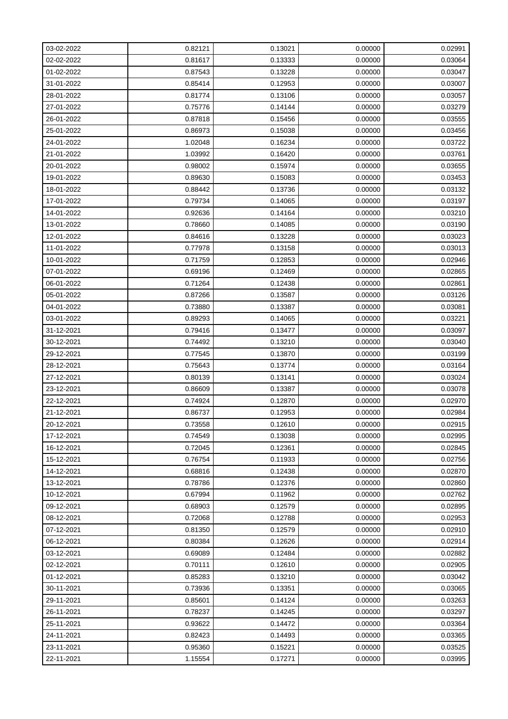| 03-02-2022 | 0.82121 | 0.13021 | 0.00000 | 0.02991 |
|------------|---------|---------|---------|---------|
| 02-02-2022 | 0.81617 | 0.13333 | 0.00000 | 0.03064 |
| 01-02-2022 | 0.87543 | 0.13228 | 0.00000 | 0.03047 |
| 31-01-2022 | 0.85414 | 0.12953 | 0.00000 | 0.03007 |
| 28-01-2022 | 0.81774 | 0.13106 | 0.00000 | 0.03057 |
| 27-01-2022 | 0.75776 | 0.14144 | 0.00000 | 0.03279 |
| 26-01-2022 | 0.87818 | 0.15456 | 0.00000 | 0.03555 |
| 25-01-2022 | 0.86973 | 0.15038 | 0.00000 | 0.03456 |
| 24-01-2022 | 1.02048 | 0.16234 | 0.00000 | 0.03722 |
| 21-01-2022 | 1.03992 | 0.16420 | 0.00000 | 0.03761 |
| 20-01-2022 | 0.98002 | 0.15974 | 0.00000 | 0.03655 |
| 19-01-2022 | 0.89630 | 0.15083 | 0.00000 | 0.03453 |
| 18-01-2022 | 0.88442 | 0.13736 | 0.00000 | 0.03132 |
| 17-01-2022 | 0.79734 | 0.14065 | 0.00000 | 0.03197 |
| 14-01-2022 | 0.92636 | 0.14164 | 0.00000 | 0.03210 |
| 13-01-2022 | 0.78660 | 0.14085 | 0.00000 | 0.03190 |
| 12-01-2022 | 0.84616 | 0.13228 | 0.00000 | 0.03023 |
| 11-01-2022 | 0.77978 | 0.13158 | 0.00000 | 0.03013 |
| 10-01-2022 | 0.71759 | 0.12853 | 0.00000 | 0.02946 |
| 07-01-2022 | 0.69196 | 0.12469 | 0.00000 | 0.02865 |
| 06-01-2022 | 0.71264 | 0.12438 | 0.00000 | 0.02861 |
| 05-01-2022 | 0.87266 | 0.13587 | 0.00000 | 0.03126 |
| 04-01-2022 | 0.73880 | 0.13387 | 0.00000 | 0.03081 |
| 03-01-2022 | 0.89293 | 0.14065 | 0.00000 | 0.03221 |
| 31-12-2021 | 0.79416 | 0.13477 | 0.00000 | 0.03097 |
| 30-12-2021 | 0.74492 | 0.13210 | 0.00000 | 0.03040 |
| 29-12-2021 | 0.77545 | 0.13870 | 0.00000 | 0.03199 |
| 28-12-2021 | 0.75643 | 0.13774 | 0.00000 | 0.03164 |
| 27-12-2021 | 0.80139 | 0.13141 | 0.00000 | 0.03024 |
| 23-12-2021 | 0.86609 | 0.13387 | 0.00000 | 0.03078 |
| 22-12-2021 | 0.74924 | 0.12870 | 0.00000 | 0.02970 |
| 21-12-2021 | 0.86737 | 0.12953 | 0.00000 | 0.02984 |
| 20-12-2021 | 0.73558 | 0.12610 | 0.00000 | 0.02915 |
| 17-12-2021 | 0.74549 | 0.13038 | 0.00000 | 0.02995 |
| 16-12-2021 | 0.72045 | 0.12361 | 0.00000 | 0.02845 |
| 15-12-2021 | 0.76754 | 0.11933 | 0.00000 | 0.02756 |
| 14-12-2021 | 0.68816 | 0.12438 | 0.00000 | 0.02870 |
| 13-12-2021 | 0.78786 | 0.12376 | 0.00000 | 0.02860 |
| 10-12-2021 | 0.67994 | 0.11962 | 0.00000 | 0.02762 |
| 09-12-2021 | 0.68903 | 0.12579 | 0.00000 | 0.02895 |
| 08-12-2021 | 0.72068 | 0.12788 | 0.00000 | 0.02953 |
| 07-12-2021 | 0.81350 | 0.12579 | 0.00000 | 0.02910 |
| 06-12-2021 | 0.80384 | 0.12626 | 0.00000 | 0.02914 |
| 03-12-2021 | 0.69089 | 0.12484 | 0.00000 | 0.02882 |
| 02-12-2021 | 0.70111 | 0.12610 | 0.00000 | 0.02905 |
| 01-12-2021 | 0.85283 | 0.13210 | 0.00000 | 0.03042 |
| 30-11-2021 | 0.73936 | 0.13351 | 0.00000 | 0.03065 |
| 29-11-2021 | 0.85601 | 0.14124 | 0.00000 | 0.03263 |
| 26-11-2021 | 0.78237 | 0.14245 | 0.00000 | 0.03297 |
| 25-11-2021 | 0.93622 | 0.14472 | 0.00000 | 0.03364 |
| 24-11-2021 | 0.82423 | 0.14493 | 0.00000 | 0.03365 |
| 23-11-2021 | 0.95360 | 0.15221 | 0.00000 | 0.03525 |
| 22-11-2021 | 1.15554 | 0.17271 | 0.00000 | 0.03995 |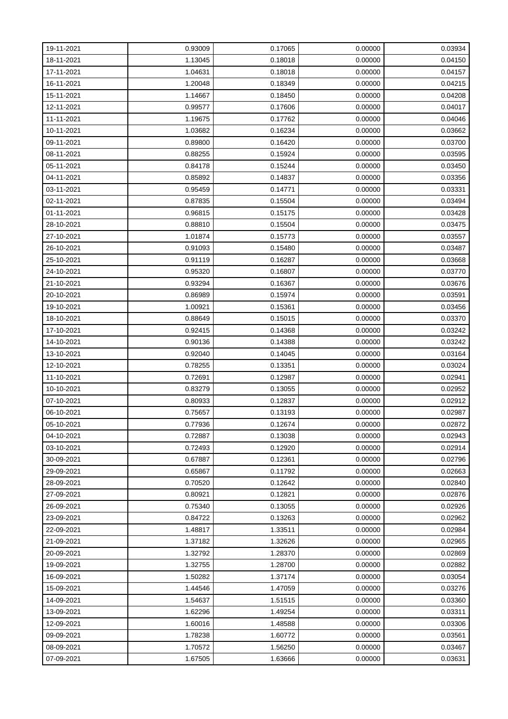| 19-11-2021 | 0.93009 | 0.17065 | 0.00000 | 0.03934 |
|------------|---------|---------|---------|---------|
| 18-11-2021 | 1.13045 | 0.18018 | 0.00000 | 0.04150 |
| 17-11-2021 | 1.04631 | 0.18018 | 0.00000 | 0.04157 |
| 16-11-2021 | 1.20048 | 0.18349 | 0.00000 | 0.04215 |
| 15-11-2021 | 1.14667 | 0.18450 | 0.00000 | 0.04208 |
| 12-11-2021 | 0.99577 | 0.17606 | 0.00000 | 0.04017 |
| 11-11-2021 | 1.19675 | 0.17762 | 0.00000 | 0.04046 |
| 10-11-2021 | 1.03682 | 0.16234 | 0.00000 | 0.03662 |
| 09-11-2021 | 0.89800 | 0.16420 | 0.00000 | 0.03700 |
| 08-11-2021 | 0.88255 | 0.15924 | 0.00000 | 0.03595 |
| 05-11-2021 | 0.84178 | 0.15244 | 0.00000 | 0.03450 |
| 04-11-2021 | 0.85892 | 0.14837 | 0.00000 | 0.03356 |
| 03-11-2021 | 0.95459 | 0.14771 | 0.00000 | 0.03331 |
| 02-11-2021 | 0.87835 | 0.15504 | 0.00000 | 0.03494 |
| 01-11-2021 | 0.96815 | 0.15175 | 0.00000 | 0.03428 |
| 28-10-2021 | 0.88810 | 0.15504 | 0.00000 | 0.03475 |
| 27-10-2021 | 1.01874 | 0.15773 | 0.00000 | 0.03557 |
| 26-10-2021 | 0.91093 | 0.15480 | 0.00000 | 0.03487 |
| 25-10-2021 | 0.91119 | 0.16287 | 0.00000 | 0.03668 |
| 24-10-2021 | 0.95320 | 0.16807 | 0.00000 | 0.03770 |
| 21-10-2021 | 0.93294 | 0.16367 | 0.00000 | 0.03676 |
| 20-10-2021 | 0.86989 | 0.15974 | 0.00000 | 0.03591 |
| 19-10-2021 | 1.00921 | 0.15361 | 0.00000 | 0.03456 |
| 18-10-2021 | 0.88649 | 0.15015 | 0.00000 | 0.03370 |
| 17-10-2021 | 0.92415 | 0.14368 | 0.00000 | 0.03242 |
| 14-10-2021 | 0.90136 | 0.14388 | 0.00000 | 0.03242 |
| 13-10-2021 | 0.92040 | 0.14045 | 0.00000 | 0.03164 |
| 12-10-2021 | 0.78255 | 0.13351 | 0.00000 | 0.03024 |
| 11-10-2021 | 0.72691 | 0.12987 | 0.00000 | 0.02941 |
| 10-10-2021 | 0.83279 | 0.13055 | 0.00000 | 0.02952 |
| 07-10-2021 | 0.80933 | 0.12837 | 0.00000 | 0.02912 |
| 06-10-2021 | 0.75657 | 0.13193 | 0.00000 | 0.02987 |
| 05-10-2021 | 0.77936 | 0.12674 | 0.00000 | 0.02872 |
| 04-10-2021 | 0.72887 | 0.13038 | 0.00000 | 0.02943 |
| 03-10-2021 | 0.72493 | 0.12920 | 0.00000 | 0.02914 |
| 30-09-2021 | 0.67887 | 0.12361 | 0.00000 | 0.02796 |
| 29-09-2021 | 0.65867 | 0.11792 | 0.00000 | 0.02663 |
| 28-09-2021 | 0.70520 | 0.12642 | 0.00000 | 0.02840 |
| 27-09-2021 | 0.80921 | 0.12821 | 0.00000 | 0.02876 |
| 26-09-2021 | 0.75340 | 0.13055 | 0.00000 | 0.02926 |
| 23-09-2021 | 0.84722 | 0.13263 | 0.00000 | 0.02962 |
| 22-09-2021 | 1.48817 | 1.33511 | 0.00000 | 0.02984 |
| 21-09-2021 | 1.37182 | 1.32626 | 0.00000 | 0.02965 |
| 20-09-2021 | 1.32792 | 1.28370 | 0.00000 | 0.02869 |
| 19-09-2021 | 1.32755 | 1.28700 | 0.00000 | 0.02882 |
| 16-09-2021 | 1.50282 | 1.37174 | 0.00000 | 0.03054 |
| 15-09-2021 | 1.44546 | 1.47059 | 0.00000 | 0.03276 |
| 14-09-2021 | 1.54637 | 1.51515 | 0.00000 | 0.03360 |
| 13-09-2021 | 1.62296 | 1.49254 | 0.00000 | 0.03311 |
| 12-09-2021 | 1.60016 | 1.48588 | 0.00000 | 0.03306 |
| 09-09-2021 | 1.78238 | 1.60772 | 0.00000 | 0.03561 |
| 08-09-2021 | 1.70572 | 1.56250 | 0.00000 | 0.03467 |
| 07-09-2021 | 1.67505 | 1.63666 | 0.00000 | 0.03631 |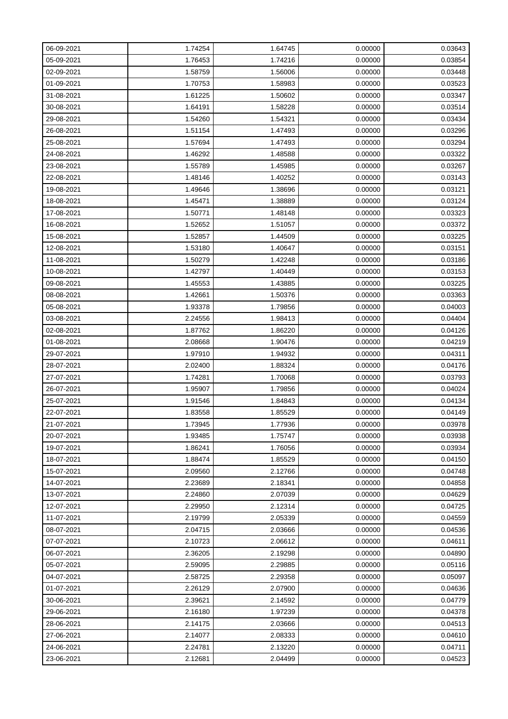| 06-09-2021 | 1.74254 | 1.64745 | 0.00000 | 0.03643 |
|------------|---------|---------|---------|---------|
| 05-09-2021 | 1.76453 | 1.74216 | 0.00000 | 0.03854 |
| 02-09-2021 | 1.58759 | 1.56006 | 0.00000 | 0.03448 |
| 01-09-2021 | 1.70753 | 1.58983 | 0.00000 | 0.03523 |
| 31-08-2021 | 1.61225 | 1.50602 | 0.00000 | 0.03347 |
| 30-08-2021 | 1.64191 | 1.58228 | 0.00000 | 0.03514 |
| 29-08-2021 | 1.54260 | 1.54321 | 0.00000 | 0.03434 |
| 26-08-2021 | 1.51154 | 1.47493 | 0.00000 | 0.03296 |
| 25-08-2021 | 1.57694 | 1.47493 | 0.00000 | 0.03294 |
| 24-08-2021 | 1.46292 | 1.48588 | 0.00000 | 0.03322 |
| 23-08-2021 | 1.55789 | 1.45985 | 0.00000 | 0.03267 |
| 22-08-2021 | 1.48146 | 1.40252 | 0.00000 | 0.03143 |
| 19-08-2021 | 1.49646 | 1.38696 | 0.00000 | 0.03121 |
| 18-08-2021 | 1.45471 | 1.38889 | 0.00000 | 0.03124 |
| 17-08-2021 | 1.50771 | 1.48148 | 0.00000 | 0.03323 |
| 16-08-2021 | 1.52652 | 1.51057 | 0.00000 | 0.03372 |
| 15-08-2021 | 1.52857 | 1.44509 | 0.00000 | 0.03225 |
| 12-08-2021 | 1.53180 | 1.40647 | 0.00000 | 0.03151 |
| 11-08-2021 | 1.50279 | 1.42248 | 0.00000 | 0.03186 |
| 10-08-2021 | 1.42797 | 1.40449 | 0.00000 | 0.03153 |
| 09-08-2021 | 1.45553 | 1.43885 | 0.00000 | 0.03225 |
| 08-08-2021 | 1.42661 | 1.50376 | 0.00000 | 0.03363 |
| 05-08-2021 | 1.93378 | 1.79856 | 0.00000 | 0.04003 |
| 03-08-2021 | 2.24556 | 1.98413 | 0.00000 | 0.04404 |
| 02-08-2021 | 1.87762 | 1.86220 | 0.00000 | 0.04126 |
| 01-08-2021 | 2.08668 | 1.90476 | 0.00000 | 0.04219 |
| 29-07-2021 | 1.97910 | 1.94932 | 0.00000 | 0.04311 |
| 28-07-2021 | 2.02400 | 1.88324 | 0.00000 | 0.04176 |
| 27-07-2021 | 1.74281 | 1.70068 | 0.00000 | 0.03793 |
| 26-07-2021 | 1.95907 | 1.79856 | 0.00000 | 0.04024 |
| 25-07-2021 | 1.91546 | 1.84843 | 0.00000 | 0.04134 |
| 22-07-2021 | 1.83558 | 1.85529 | 0.00000 | 0.04149 |
| 21-07-2021 | 1.73945 | 1.77936 | 0.00000 | 0.03978 |
| 20-07-2021 | 1.93485 | 1.75747 | 0.00000 | 0.03938 |
| 19-07-2021 | 1.86241 | 1.76056 | 0.00000 | 0.03934 |
| 18-07-2021 | 1.88474 | 1.85529 | 0.00000 | 0.04150 |
| 15-07-2021 | 2.09560 | 2.12766 | 0.00000 | 0.04748 |
| 14-07-2021 | 2.23689 | 2.18341 | 0.00000 | 0.04858 |
| 13-07-2021 | 2.24860 | 2.07039 | 0.00000 | 0.04629 |
| 12-07-2021 | 2.29950 | 2.12314 | 0.00000 | 0.04725 |
| 11-07-2021 | 2.19799 | 2.05339 | 0.00000 | 0.04559 |
| 08-07-2021 | 2.04715 | 2.03666 | 0.00000 | 0.04536 |
| 07-07-2021 | 2.10723 | 2.06612 | 0.00000 | 0.04611 |
| 06-07-2021 | 2.36205 | 2.19298 | 0.00000 | 0.04890 |
| 05-07-2021 | 2.59095 | 2.29885 | 0.00000 | 0.05116 |
| 04-07-2021 | 2.58725 | 2.29358 | 0.00000 | 0.05097 |
| 01-07-2021 | 2.26129 | 2.07900 | 0.00000 | 0.04636 |
| 30-06-2021 | 2.39621 | 2.14592 | 0.00000 | 0.04779 |
| 29-06-2021 | 2.16180 | 1.97239 | 0.00000 | 0.04378 |
| 28-06-2021 | 2.14175 | 2.03666 | 0.00000 | 0.04513 |
| 27-06-2021 | 2.14077 | 2.08333 | 0.00000 | 0.04610 |
| 24-06-2021 | 2.24781 | 2.13220 | 0.00000 | 0.04711 |
| 23-06-2021 | 2.12681 | 2.04499 | 0.00000 | 0.04523 |